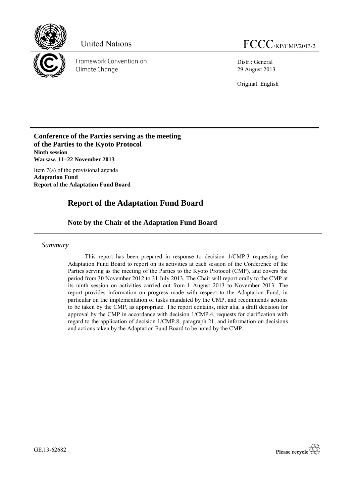

Framework Convention on Climate Change

Distr.: General 29 August 2013

Original: English

## **Conference of the Parties serving as the meeting of the Parties to the Kyoto Protocol Ninth session Warsaw, 11–22 November 2013**

Item 7(a) of the provisional agenda **Adaptation Fund Report of the Adaptation Fund Board**

# **Report of the Adaptation Fund Board**

# **Note by the Chair of the Adaptation Fund Board**

*Summary*

This report has been prepared in response to decision 1/CMP.3 requesting the Adaptation Fund Board to report on its activities at each session of the Conference of the Parties serving as the meeting of the Parties to the Kyoto Protocol (CMP), and covers the period from 30 November 2012 to 31 July 2013. The Chair will report orally to the CMP at its ninth session on activities carried out from 1 August 2013 to November 2013. The report provides information on progress made with respect to the Adaptation Fund, in particular on the implementation of tasks mandated by the CMP, and recommends actions to be taken by the CMP, as appropriate. The report contains, inter alia, a draft decision for approval by the CMP in accordance with decision 1/CMP.4, requests for clarification with regard to the application of decision 1/CMP.8, paragraph 21, and information on decisions and actions taken by the Adaptation Fund Board to be noted by the CMP.

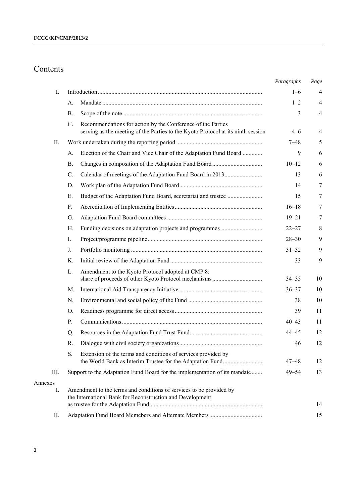# Contents

|               |                 |                                                                                                                                                 | Paragraphs | Page           |
|---------------|-----------------|-------------------------------------------------------------------------------------------------------------------------------------------------|------------|----------------|
| I.            |                 |                                                                                                                                                 | $1 - 6$    | 4              |
|               | A.              |                                                                                                                                                 | $1 - 2$    | $\overline{4}$ |
|               | <b>B.</b>       |                                                                                                                                                 | 3          | $\overline{4}$ |
|               | C.              | Recommendations for action by the Conference of the Parties<br>serving as the meeting of the Parties to the Kyoto Protocol at its ninth session | $4 - 6$    | 4              |
| II.           |                 |                                                                                                                                                 | 7–48       | 5              |
|               | A.              | Election of the Chair and Vice Chair of the Adaptation Fund Board                                                                               | 9          | 6              |
|               | <b>B</b> .      |                                                                                                                                                 | $10 - 12$  | 6              |
|               | $\mathcal{C}$ . |                                                                                                                                                 | 13         | 6              |
|               | D.              |                                                                                                                                                 | 14         | 7              |
|               | Ε.              | Budget of the Adaptation Fund Board, secretariat and trustee                                                                                    | 15         | 7              |
|               | $F_{\cdot}$     |                                                                                                                                                 | $16 - 18$  | 7              |
|               | G.              |                                                                                                                                                 | $19 - 21$  | 7              |
|               | Н.              |                                                                                                                                                 | $22 - 27$  | 8              |
|               | I.              |                                                                                                                                                 | $28 - 30$  | 9              |
|               | J.              |                                                                                                                                                 | $31 - 32$  | 9              |
|               | Κ.              |                                                                                                                                                 | 33         | 9              |
|               | L.              | Amendment to the Kyoto Protocol adopted at CMP 8:                                                                                               | $34 - 35$  | 10             |
|               | M.              |                                                                                                                                                 | $36 - 37$  | 10             |
|               | N.              |                                                                                                                                                 | 38         | 10             |
|               | O.              |                                                                                                                                                 | 39         | 11             |
|               | P.              |                                                                                                                                                 | $40 - 43$  | 11             |
|               | Q.              |                                                                                                                                                 | $44 - 45$  | 12             |
|               | R.              |                                                                                                                                                 | 46         | 12             |
|               | S.              | Extension of the terms and conditions of services provided by                                                                                   | 47–48      | 12             |
| III.          |                 | Support to the Adaptation Fund Board for the implementation of its mandate                                                                      | $49 - 54$  | 13             |
| Annexes<br>I. |                 | Amendment to the terms and conditions of services to be provided by<br>the International Bank for Reconstruction and Development                |            | 14             |
| П.            |                 |                                                                                                                                                 |            | 15             |
|               |                 |                                                                                                                                                 |            |                |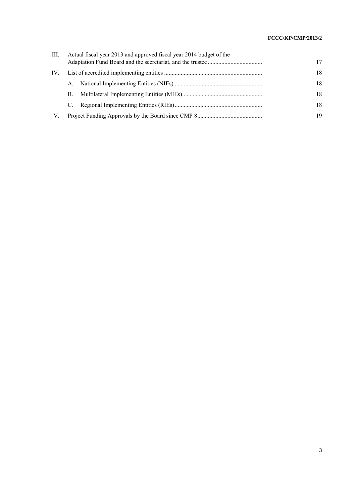| III. | Actual fiscal year 2013 and approved fiscal year 2014 budget of the |  |    |  |  |  |  |  |
|------|---------------------------------------------------------------------|--|----|--|--|--|--|--|
| IV.  |                                                                     |  | 18 |  |  |  |  |  |
|      | $A_{-}$                                                             |  | 18 |  |  |  |  |  |
|      | B.                                                                  |  | 18 |  |  |  |  |  |
|      | C.                                                                  |  | 18 |  |  |  |  |  |
| V.   |                                                                     |  | 19 |  |  |  |  |  |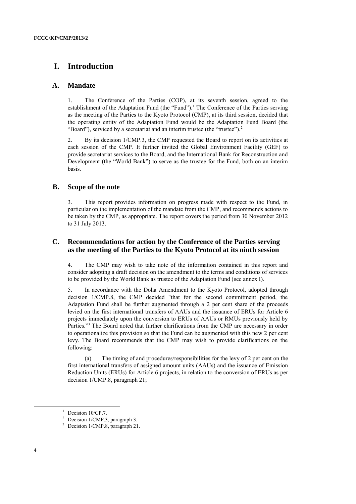# **I. Introduction**

## **A. Mandate**

1. The Conference of the Parties (COP), at its seventh session, agreed to the establishment of the Adaptation Fund (the "Fund").<sup>1</sup> The Conference of the Parties serving as the meeting of the Parties to the Kyoto Protocol (CMP), at its third session, decided that the operating entity of the Adaptation Fund would be the Adaptation Fund Board (the "Board"), serviced by a secretariat and an interim trustee (the "trustee").<sup>2</sup>

2. By its decision 1/CMP.3, the CMP requested the Board to report on its activities at each session of the CMP. It further invited the Global Environment Facility (GEF) to provide secretariat services to the Board, and the International Bank for Reconstruction and Development (the "World Bank") to serve as the trustee for the Fund, both on an interim basis.

## **B. Scope of the note**

3. This report provides information on progress made with respect to the Fund, in particular on the implementation of the mandate from the CMP, and recommends actions to be taken by the CMP, as appropriate. The report covers the period from 30 November 2012 to 31 July 2013.

## **C. Recommendations for action by the Conference of the Parties serving as the meeting of the Parties to the Kyoto Protocol at its ninth session**

4. The CMP may wish to take note of the information contained in this report and consider adopting a draft decision on the amendment to the terms and conditions of services to be provided by the World Bank as trustee of the Adaptation Fund (see annex I).

5. In accordance with the Doha Amendment to the Kyoto Protocol, adopted through decision 1/CMP.8, the CMP decided "that for the second commitment period, the Adaptation Fund shall be further augmented through a 2 per cent share of the proceeds levied on the first international transfers of AAUs and the issuance of ERUs for Article 6 projects immediately upon the conversion to ERUs of AAUs or RMUs previously held by Parties."<sup>3</sup> The Board noted that further clarifications from the CMP are necessary in order to operationalize this provision so that the Fund can be augmented with this new 2 per cent levy. The Board recommends that the CMP may wish to provide clarifications on the following:

(a) The timing of and procedures/responsibilities for the levy of 2 per cent on the first international transfers of assigned amount units (AAUs) and the issuance of Emission Reduction Units (ERUs) for Article 6 projects, in relation to the conversion of ERUs as per decision 1/CMP.8, paragraph 21;

<sup>&</sup>lt;sup>1</sup> Decision 10/CP.7.

<sup>2</sup> Decision 1/CMP.3, paragraph 3.

<sup>&</sup>lt;sup>3</sup> Decision 1/CMP.8, paragraph 21.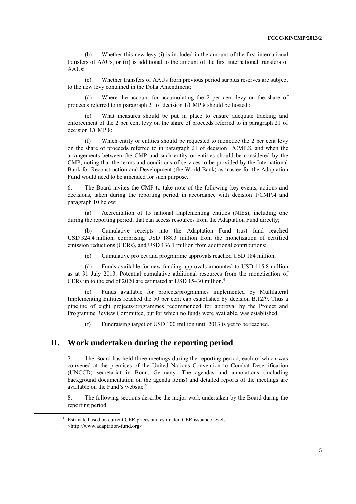(b) Whether this new levy (i) is included in the amount of the first international transfers of AAUs, or (ii) is additional to the amount of the first international transfers of AAUs;

(c) Whether transfers of AAUs from previous period surplus reserves are subject to the new levy contained in the Doha Amendment;

(d) Where the account for accumulating the 2 per cent levy on the share of proceeds referred to in paragraph 21 of decision 1/CMP.8 should be hosted ;

What measures should be put in place to ensure adequate tracking and enforcement of the 2 per cent levy on the share of proceeds referred to in paragraph 21 of decision 1/CMP.8;

(f) Which entity or entities should be requested to monetize the 2 per cent levy on the share of proceeds referred to in paragraph 21 of decision 1/CMP.8, and when the arrangements between the CMP and such entity or entities should be considered by the CMP, noting that the terms and conditions of services to be provided by the International Bank for Reconstruction and Development (the World Bank) as trustee for the Adaptation Fund would need to be amended for such purpose.

6. The Board invites the CMP to take note of the following key events, actions and decisions, taken during the reporting period in accordance with decision 1/CMP.4 and paragraph 10 below:

(a) Accreditation of 15 national implementing entities (NIEs), including one during the reporting period, that can access resources from the Adaptation Fund directly;

(b) Cumulative receipts into the Adaptation Fund trust fund reached USD 324.4 million, comprising USD 188.3 million from the monetization of certified emission reductions (CERs), and USD 136.1 million from additional contributions;

(c) Cumulative project and programme approvals reached USD 184 million;

(d) Funds available for new funding approvals amounted to USD 115.8 million as at 31 July 2013. Potential cumulative additional resources from the monetization of CERs up to the end of 2020 are estimated at USD 15–30 million.<sup>4</sup>

Funds available for projects/programmes implemented by Multilateral Implementing Entities reached the 50 per cent cap established by decision B.12/9. Thus a pipeline of eight projects/programmes recommended for approval by the Project and Programme Review Committee, but for which no funds were available, was established.

(f) Fundraising target of USD 100 million until 2013 is yet to be reached.

## **II. Work undertaken during the reporting period**

7. The Board has held three meetings during the reporting period, each of which was convened at the premises of the United Nations Convention to Combat Desertification (UNCCD) secretariat in Bonn, Germany. The agendas and annotations (including background documentation on the agenda items) and detailed reports of the meetings are available on the Fund's website.<sup>5</sup>

8. The following sections describe the major work undertaken by the Board during the reporting period.

<sup>4</sup> Estimate based on current CER prices and estimated CER issuance levels.

<sup>&</sup>lt;sup>5</sup> <http://www.adaptation-fund.org>.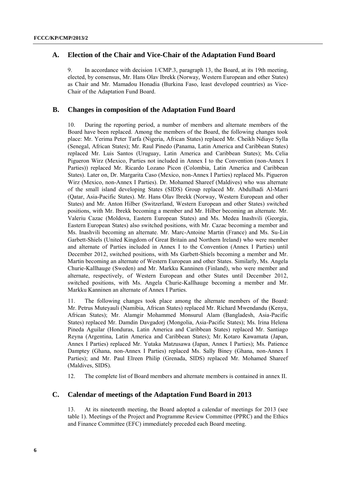## **A. Election of the Chair and Vice-Chair of the Adaptation Fund Board**

9. In accordance with decision 1/CMP.3, paragraph 13, the Board, at its 19th meeting, elected, by consensus, Mr. Hans Olav Ibrekk (Norway, Western European and other States) as Chair and Mr. Mamadou Honadia (Burkina Faso, least developed countries) as Vice-Chair of the Adaptation Fund Board.

## **B. Changes in composition of the Adaptation Fund Board**

10. During the reporting period, a number of members and alternate members of the Board have been replaced. Among the members of the Board, the following changes took place: Mr. Yerima Peter Tarfa (Nigeria, African States) replaced Mr. Cheikh Ndiaye Sylla (Senegal, African States); Mr. Raul Pinedo (Panama, Latin America and Caribbean States) replaced Mr. Luis Santos (Uruguay, Latin America and Caribbean States); Ms. Celia Pigueron Wirz (Mexico, Parties not included in Annex I to the Convention (non-Annex I Parties)) replaced Mr. Ricardo Lozano Picon (Colombia, Latin America and Caribbean States). Later on, Dr. Margarita Caso (Mexico, non-Annex I Parties) replaced Ms. Pigueron Wirz (Mexico, non-Annex I Parties). Dr. Mohamed Shareef (Maldives) who was alternate of the small island developing States (SIDS) Group replaced Mr. Abdulhadi Al-Marri (Qatar, Asia-Pacific States). Mr. Hans Olav Ibrekk (Norway, Western European and other States) and Mr. Anton Hilber (Switzerland, Western European and other States) switched positions, with Mr. Ibrekk becoming a member and Mr. Hilber becoming an alternate. Mr. Valeriu Cazac (Moldova, Eastern European States) and Ms. Medea Inashvili (Georgia, Eastern European States) also switched positions, with Mr. Cazac becoming a member and Ms. Inashvili becoming an alternate. Mr. Marc-Antoine Martin (France) and Ms. Su-Lin Garbett-Shiels (United Kingdom of Great Britain and Northern Ireland) who were member and alternate of Parties included in Annex I to the Convention (Annex I Parties) until December 2012, switched positions, with Ms Garbett-Shiels becoming a member and Mr. Martin becoming an alternate of Western European and other States. Similarly, Ms. Angela Churie-Kallhauge (Sweden) and Mr. Markku Kanninen (Finland), who were member and alternate, respectively, of Western European and other States until December 2012, switched positions, with Ms. Angela Churie-Kallhauge becoming a member and Mr. Markku Kanninen an alternate of Annex I Parties.

11. The following changes took place among the alternate members of the Board: Mr. Petrus Muteyauli (Namibia, African States) replaced Mr. Richard Mwendandu (Kenya, African States); Mr. Alamgir Mohammed Monsurul Alam (Bangladesh, Asia-Pacific States) replaced Mr. Damdin Davgadorj (Mongolia, Asia-Pacific States); Ms. Irina Helena Pineda Aguilar (Honduras, Latin America and Caribbean States) replaced Mr. Santiago Reyna (Argentina, Latin America and Caribbean States); Mr. Kotaro Kawamata (Japan, Annex I Parties) replaced Mr. Yutaka Matzusawa (Japan, Annex I Parties); Ms. Patience Damptey (Ghana, non-Annex I Parties) replaced Ms. Sally Biney (Ghana, non-Annex I Parties); and Mr. Paul Elreen Philip (Grenada, SIDS) replaced Mr. Mohamed Shareef (Maldives, SIDS).

12. The complete list of Board members and alternate members is contained in annex II.

## **C. Calendar of meetings of the Adaptation Fund Board in 2013**

13. At its nineteenth meeting, the Board adopted a calendar of meetings for 2013 (see table 1). Meetings of the Project and Programme Review Committee (PPRC) and the Ethics and Finance Committee (EFC) immediately preceded each Board meeting.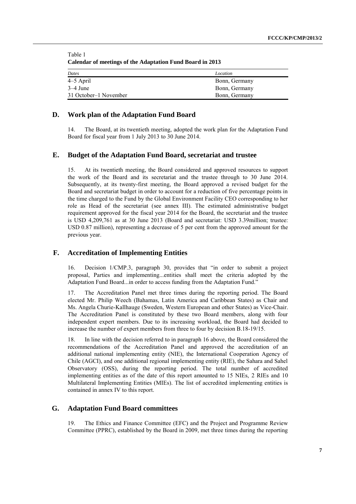Table 1 **Calendar of meetings of the Adaptation Fund Board in 2013**

| Dates                 | Location      |
|-----------------------|---------------|
| 4–5 April             | Bonn, Germany |
| $3-4$ June            | Bonn, Germany |
| 31 October–1 November | Bonn, Germany |

#### **D. Work plan of the Adaptation Fund Board**

14. The Board, at its twentieth meeting, adopted the work plan for the Adaptation Fund Board for fiscal year from 1 July 2013 to 30 June 2014.

#### **E. Budget of the Adaptation Fund Board, secretariat and trustee**

15. At its twentieth meeting, the Board considered and approved resources to support the work of the Board and its secretariat and the trustee through to 30 June 2014. Subsequently, at its twenty-first meeting, the Board approved a revised budget for the Board and secretariat budget in order to account for a reduction of five percentage points in the time charged to the Fund by the Global Environment Facility CEO corresponding to her role as Head of the secretariat (see annex III). The estimated administrative budget requirement approved for the fiscal year 2014 for the Board, the secretariat and the trustee is USD 4,209,761 as at 30 June 2013 (Board and secretariat: USD 3.39million; trustee: USD 0.87 million), representing a decrease of 5 per cent from the approved amount for the previous year.

#### **F. Accreditation of Implementing Entities**

16. Decision 1/CMP.3, paragraph 30, provides that "in order to submit a project proposal, Parties and implementing...entities shall meet the criteria adopted by the Adaptation Fund Board...in order to access funding from the Adaptation Fund."

17. The Accreditation Panel met three times during the reporting period. The Board elected Mr. Philip Weech (Bahamas, Latin America and Caribbean States) as Chair and Ms. Angela Churie-Kallhauge (Sweden, Western European and other States) as Vice-Chair. The Accreditation Panel is constituted by these two Board members, along with four independent expert members. Due to its increasing workload, the Board had decided to increase the number of expert members from three to four by decision B.18-19/15.

18. In line with the decision referred to in paragraph 16 above, the Board considered the recommendations of the Accreditation Panel and approved the accreditation of an additional national implementing entity (NIE), the International Cooperation Agency of Chile (AGCI), and one additional regional implementing entity (RIE), the Sahara and Sahel Observatory (OSS), during the reporting period. The total number of accredited implementing entities as of the date of this report amounted to 15 NIEs, 2 RIEs and 10 Multilateral Implementing Entities (MIEs). The list of accredited implementing entities is contained in annex IV to this report.

#### **G. Adaptation Fund Board committees**

19. The Ethics and Finance Committee (EFC) and the Project and Programme Review Committee (PPRC), established by the Board in 2009, met three times during the reporting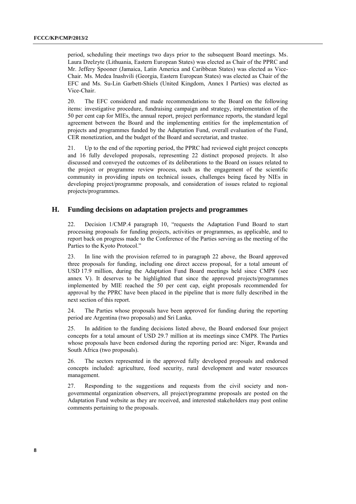period, scheduling their meetings two days prior to the subsequent Board meetings. Ms. Laura Dzelzyte (Lithuania, Eastern European States) was elected as Chair of the PPRC and Mr. Jeffery Spooner (Jamaica, Latin America and Caribbean States) was elected as Vice-Chair. Ms. Medea Inashvili (Georgia, Eastern European States) was elected as Chair of the EFC and Ms. Su-Lin Garbett-Shiels (United Kingdom, Annex I Parties) was elected as Vice-Chair.

20. The EFC considered and made recommendations to the Board on the following items: investigative procedure, fundraising campaign and strategy, implementation of the 50 per cent cap for MIEs, the annual report, project performance reports, the standard legal agreement between the Board and the implementing entities for the implementation of projects and programmes funded by the Adaptation Fund, overall evaluation of the Fund, CER monetization, and the budget of the Board and secretariat, and trustee.

21. Up to the end of the reporting period, the PPRC had reviewed eight project concepts and 16 fully developed proposals, representing 22 distinct proposed projects. It also discussed and conveyed the outcomes of its deliberations to the Board on issues related to the project or programme review process, such as the engagement of the scientific community in providing inputs on technical issues, challenges being faced by NIEs in developing project/programme proposals, and consideration of issues related to regional projects/programmes.

## **H. Funding decisions on adaptation projects and programmes**

22. Decision 1/CMP.4 paragraph 10, "requests the Adaptation Fund Board to start processing proposals for funding projects, activities or programmes, as applicable, and to report back on progress made to the Conference of the Parties serving as the meeting of the Parties to the Kyoto Protocol."

23. In line with the provision referred to in paragraph 22 above, the Board approved three proposals for funding, including one direct access proposal, for a total amount of USD 17.9 million, during the Adaptation Fund Board meetings held since CMP8 (see annex V). It deserves to be highlighted that since the approved projects/programmes implemented by MIE reached the 50 per cent cap, eight proposals recommended for approval by the PPRC have been placed in the pipeline that is more fully described in the next section of this report.

24. The Parties whose proposals have been approved for funding during the reporting period are Argentina (two proposals) and Sri Lanka.

25. In addition to the funding decisions listed above, the Board endorsed four project concepts for a total amount of USD 29.7 million at its meetings since CMP8. The Parties whose proposals have been endorsed during the reporting period are: Niger, Rwanda and South Africa (two proposals).

26. The sectors represented in the approved fully developed proposals and endorsed concepts included: agriculture, food security, rural development and water resources management.

27. Responding to the suggestions and requests from the civil society and nongovernmental organization observers, all project/programme proposals are posted on the Adaptation Fund website as they are received, and interested stakeholders may post online comments pertaining to the proposals.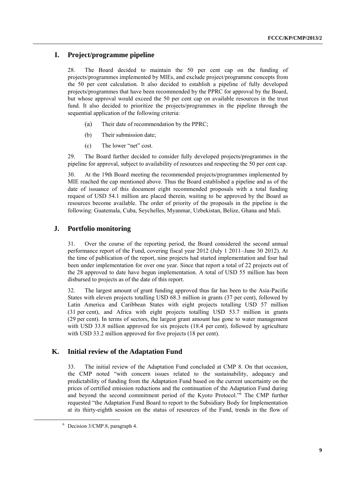## **I. Project/programme pipeline**

28. The Board decided to maintain the 50 per cent cap on the funding of projects/programmes implemented by MIEs, and exclude project/programme concepts from the 50 per cent calculation. It also decided to establish a pipeline of fully developed projects/programmes that have been recommended by the PPRC for approval by the Board, but whose approval would exceed the 50 per cent cap on available resources in the trust fund. It also decided to prioritize the projects/programmes in the pipeline through the sequential application of the following criteria:

- (a) Their date of recommendation by the PPRC;
- (b) Their submission date;
- (c) The lower "net" cost.

29. The Board further decided to consider fully developed projects/programmes in the pipeline for approval, subject to availability of resources and respecting the 50 per cent cap.

30. At the 19th Board meeting the recommended projects/programmes implemented by MIE reached the cap mentioned above. Thus the Board established a pipeline and as of the date of issuance of this document eight recommended proposals with a total funding request of USD 54.1 million are placed therein, waiting to be approved by the Board as resources become available. The order of priority of the proposals in the pipeline is the following: Guatemala, Cuba, Seychelles, Myanmar, Uzbekistan, Belize, Ghana and Mali.

## **J. Portfolio monitoring**

31. Over the course of the reporting period, the Board considered the second annual performance report of the Fund, covering fiscal year 2012 (July 1 2011–June 30 2012). At the time of publication of the report, nine projects had started implementation and four had been under implementation for over one year. Since that report a total of 22 projects out of the 28 approved to date have begun implementation. A total of USD 55 million has been disbursed to projects as of the date of this report.

32. The largest amount of grant funding approved thus far has been to the Asia-Pacific States with eleven projects totalling USD 68.3 million in grants (37 per cent), followed by Latin America and Caribbean States with eight projects totalling USD 57 million (31 per cent), and Africa with eight projects totalling USD 53.7 million in grants (29 per cent). In terms of sectors, the largest grant amount has gone to water management with USD 33.8 million approved for six projects (18.4 per cent), followed by agriculture with USD 33.2 million approved for five projects (18 per cent).

## **K. Initial review of the Adaptation Fund**

33. The initial review of the Adaptation Fund concluded at CMP 8. On that occasion, the CMP noted "with concern issues related to the sustainability, adequacy and predictability of funding from the Adaptation Fund based on the current uncertainty on the prices of certified emission reductions and the continuation of the Adaptation Fund during and beyond the second commitment period of the Kyoto Protocol."<sup>6</sup> The CMP further requested "the Adaptation Fund Board to report to the Subsidiary Body for Implementation at its thirty-eighth session on the status of resources of the Fund, trends in the flow of

<sup>6</sup> Decision 3/CMP.8, paragraph 4.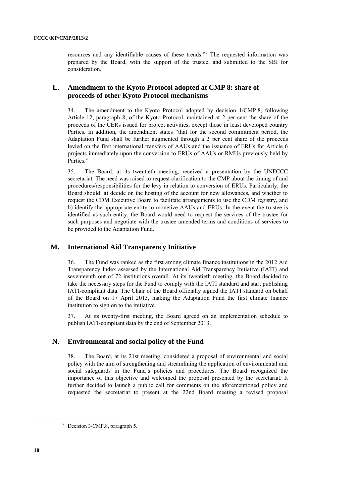resources and any identifiable causes of these trends."<sup>7</sup> The requested information was prepared by the Board, with the support of the trustee, and submitted to the SBI for consideration.

## **L. Amendment to the Kyoto Protocol adopted at CMP 8: share of proceeds of other Kyoto Protocol mechanisms**

34. The amendment to the Kyoto Protocol adopted by decision 1/CMP.8, following Article 12, paragraph 8, of the Kyoto Protocol, maintained at 2 per cent the share of the proceeds of the CERs issued for project activities, except those in least developed country Parties. In addition, the amendment states "that for the second commitment period, the Adaptation Fund shall be further augmented through a 2 per cent share of the proceeds levied on the first international transfers of AAUs and the issuance of ERUs for Article 6 projects immediately upon the conversion to ERUs of AAUs or RMUs previously held by Parties."

35. The Board, at its twentieth meeting, received a presentation by the UNFCCC secretariat. The need was raised to request clarification to the CMP about the timing of and procedures/responsibilities for the levy in relation to conversion of ERUs. Particularly, the Board should: a) decide on the hosting of the account for new allowances, and whether to request the CDM Executive Board to facilitate arrangements to use the CDM registry, and b) identify the appropriate entity to monetize AAUs and ERUs. In the event the trustee is identified as such entity, the Board would need to request the services of the trustee for such purposes and negotiate with the trustee amended terms and conditions of services to be provided to the Adaptation Fund.

## **M. International Aid Transparency Initiative**

36. The Fund was ranked as the first among climate finance institutions in the 2012 Aid Transparency Index assessed by the International Aid Transparency Initiative (IATI) and seventeenth out of 72 institutions overall. At its twentieth meeting, the Board decided to take the necessary steps for the Fund to comply with the IATI standard and start publishing IATI-compliant data. The Chair of the Board officially signed the IATI standard on behalf of the Board on 17 April 2013, making the Adaptation Fund the first climate finance institution to sign on to the initiative.

37. At its twenty-first meeting, the Board agreed on an implementation schedule to publish IATI-compliant data by the end of September 2013.

#### **N. Environmental and social policy of the Fund**

38. The Board, at its 21st meeting, considered a proposal of environmental and social policy with the aim of strengthening and streamlining the application of environmental and social safeguards in the Fund's policies and procedures. The Board recognized the importance of this objective and welcomed the proposal presented by the secretariat. It further decided to launch a public call for comments on the aforementioned policy and requested the secretariat to present at the 22nd Board meeting a revised proposal

<sup>7</sup> Decision 3/CMP.8, paragraph 5.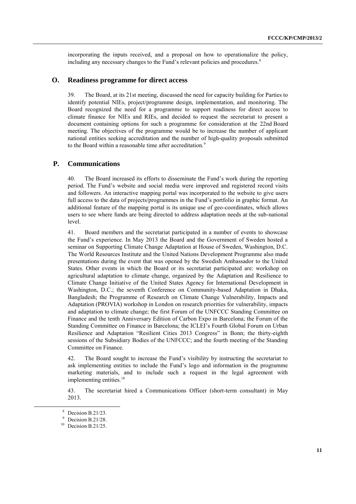incorporating the inputs received, and a proposal on how to operationalize the policy, including any necessary changes to the Fund's relevant policies and procedures.<sup>8</sup>

#### **O. Readiness programme for direct access**

39. The Board, at its 21st meeting, discussed the need for capacity building for Parties to identify potential NIEs, project/programme design, implementation, and monitoring. The Board recognized the need for a programme to support readiness for direct access to climate finance for NIEs and RIEs, and decided to request the secretariat to present a document containing options for such a programme for consideration at the 22nd Board meeting. The objectives of the programme would be to increase the number of applicant national entities seeking accreditation and the number of high-quality proposals submitted to the Board within a reasonable time after accreditation.<sup>9</sup>

#### **P. Communications**

40. The Board increased its efforts to disseminate the Fund's work during the reporting period. The Fund's website and social media were improved and registered record visits and followers. An interactive mapping portal was incorporated to the website to give users full access to the data of projects/programmes in the Fund's portfolio in graphic format. An additional feature of the mapping portal is its unique use of geo-coordinates, which allows users to see where funds are being directed to address adaptation needs at the sub-national level.

41. Board members and the secretariat participated in a number of events to showcase the Fund's experience. In May 2013 the Board and the Government of Sweden hosted a seminar on Supporting Climate Change Adaptation at House of Sweden, Washington, D.C. The World Resources Institute and the United Nations Development Programme also made presentations during the event that was opened by the Swedish Ambassador to the United States. Other events in which the Board or its secretariat participated are: workshop on agricultural adaptation to climate change, organized by the Adaptation and Resilience to Climate Change Initiative of the United States Agency for International Development in Washington, D.C.; the seventh Conference on Community-based Adaptation in Dhaka, Bangladesh; the Programme of Research on Climate Change Vulnerability, Impacts and Adaptation (PROVIA) workshop in London on research priorities for vulnerability, impacts and adaptation to climate change; the first Forum of the UNFCCC Standing Committee on Finance and the tenth Anniversary Edition of Carbon Expo in Barcelona; the Forum of the Standing Committee on Finance in Barcelona; the ICLEI's Fourth Global Forum on Urban Resilience and Adaptation "Resilient Cities 2013 Congress" in Bonn; the thirty-eighth sessions of the Subsidiary Bodies of the UNFCCC; and the fourth meeting of the Standing Committee on Finance.

42. The Board sought to increase the Fund's visibility by instructing the secretariat to ask implementing entities to include the Fund's logo and information in the programme marketing materials, and to include such a request in the legal agreement with implementing entities.<sup>10</sup>

43. The secretariat hired a Communications Officer (short-term consultant) in May 2013.

<sup>8</sup> Decision B.21/23.

<sup>&</sup>lt;sup>9</sup> Decision B.21/28.

 $10$  Decision B.21/25.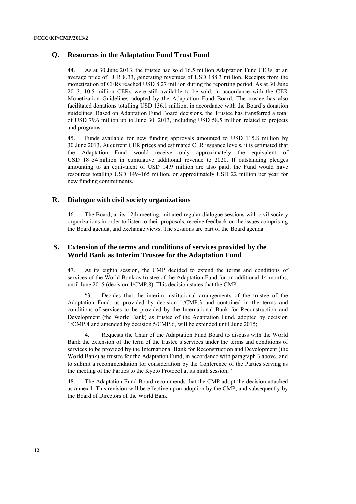## **Q. Resources in the Adaptation Fund Trust Fund**

44. As at 30 June 2013, the trustee had sold 16.5 million Adaptation Fund CERs, at an average price of EUR 8.33, generating revenues of USD 188.3 million. Receipts from the monetization of CERs reached USD 8.27 million during the reporting period. As at 30 June 2013, 10.5 million CERs were still available to be sold, in accordance with the CER Monetization Guidelines adopted by the Adaptation Fund Board. The trustee has also facilitated donations totalling USD 136.1 million, in accordance with the Board's donation guidelines. Based on Adaptation Fund Board decisions, the Trustee has transferred a total of USD 79.6 million up to June 30, 2013, including USD 58.5 million related to projects and programs.

45. Funds available for new funding approvals amounted to USD 115.8 million by 30 June 2013. At current CER prices and estimated CER issuance levels, it is estimated that the Adaptation Fund would receive only approximately the equivalent of USD 18–34 million in cumulative additional revenue to 2020. If outstanding pledges amounting to an equivalent of USD 14.9 million are also paid, the Fund would have resources totalling USD 149–165 million, or approximately USD 22 million per year for new funding commitments.

## **R. Dialogue with civil society organizations**

46. The Board, at its 12th meeting, initiated regular dialogue sessions with civil society organizations in order to listen to their proposals, receive feedback on the issues comprising the Board agenda, and exchange views. The sessions are part of the Board agenda.

## **S. Extension of the terms and conditions of services provided by the World Bank as Interim Trustee for the Adaptation Fund**

47. At its eighth session, the CMP decided to extend the terms and conditions of services of the World Bank as trustee of the Adaptation Fund for an additional 14 months, until June 2015 (decision 4/CMP.8). This decision states that the CMP:

Decides that the interim institutional arrangements of the trustee of the Adaptation Fund, as provided by decision 1/CMP.3 and contained in the terms and conditions of services to be provided by the International Bank for Reconstruction and Development (the World Bank) as trustee of the Adaptation Fund, adopted by decision 1/CMP.4 and amended by decision 5/CMP.6, will be extended until June 2015;

4. Requests the Chair of the Adaptation Fund Board to discuss with the World Bank the extension of the term of the trustee's services under the terms and conditions of services to be provided by the International Bank for Reconstruction and Development (the World Bank) as trustee for the Adaptation Fund, in accordance with paragraph 3 above, and to submit a recommendation for consideration by the Conference of the Parties serving as the meeting of the Parties to the Kyoto Protocol at its ninth session;"

48. The Adaptation Fund Board recommends that the CMP adopt the decision attached as annex I. This revision will be effective upon adoption by the CMP, and subsequently by the Board of Directors of the World Bank.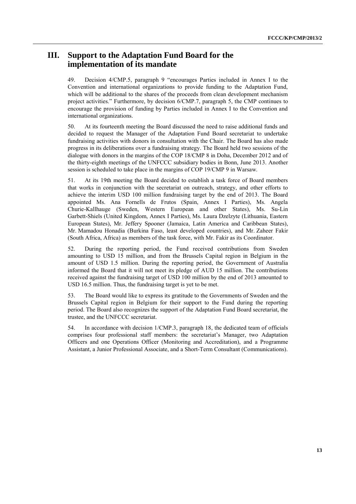## **III. Support to the Adaptation Fund Board for the implementation of its mandate**

49. Decision 4/CMP.5, paragraph 9 "encourages Parties included in Annex I to the Convention and international organizations to provide funding to the Adaptation Fund, which will be additional to the shares of the proceeds from clean development mechanism project activities." Furthermore, by decision 6/CMP.7, paragraph 5, the CMP continues to encourage the provision of funding by Parties included in Annex I to the Convention and international organizations.

50. At its fourteenth meeting the Board discussed the need to raise additional funds and decided to request the Manager of the Adaptation Fund Board secretariat to undertake fundraising activities with donors in consultation with the Chair. The Board has also made progress in its deliberations over a fundraising strategy. The Board held two sessions of the dialogue with donors in the margins of the COP 18/CMP 8 in Doha, December 2012 and of the thirty-eighth meetings of the UNFCCC subsidiary bodies in Bonn, June 2013. Another session is scheduled to take place in the margins of COP 19/CMP 9 in Warsaw.

51. At its 19th meeting the Board decided to establish a task force of Board members that works in conjunction with the secretariat on outreach, strategy, and other efforts to achieve the interim USD 100 million fundraising target by the end of 2013. The Board appointed Ms. Ana Fornells de Frutos (Spain, Annex I Parties), Ms. Angela Churie-Kallhauge (Sweden, Western European and other States), Ms. Su-Lin Garbett-Shiels (United Kingdom, Annex I Parties), Ms. Laura Dzelzyte (Lithuania, Eastern European States), Mr. Jeffery Spooner (Jamaica, Latin America and Caribbean States), Mr. Mamadou Honadia (Burkina Faso, least developed countries), and Mr. Zaheer Fakir (South Africa, Africa) as members of the task force, with Mr. Fakir as its Coordinator.

52. During the reporting period, the Fund received contributions from Sweden amounting to USD 15 million, and from the Brussels Capital region in Belgium in the amount of USD 1.5 million. During the reporting period, the Government of Australia informed the Board that it will not meet its pledge of AUD 15 million. The contributions received against the fundraising target of USD 100 million by the end of 2013 amounted to USD 16.5 million. Thus, the fundraising target is yet to be met.

53. The Board would like to express its gratitude to the Governments of Sweden and the Brussels Capital region in Belgium for their support to the Fund during the reporting period. The Board also recognizes the support of the Adaptation Fund Board secretariat, the trustee, and the UNFCCC secretariat.

54. In accordance with decision 1/CMP.3, paragraph 18, the dedicated team of officials comprises four professional staff members: the secretariat's Manager, two Adaptation Officers and one Operations Officer (Monitoring and Accreditation), and a Programme Assistant, a Junior Professional Associate, and a Short-Term Consultant (Communications).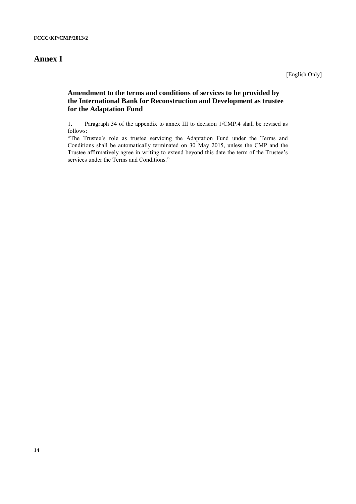# **Annex I**

[English Only]

## **Amendment to the terms and conditions of services to be provided by the International Bank for Reconstruction and Development as trustee for the Adaptation Fund**

1. Paragraph 34 of the appendix to annex III to decision 1/CMP.4 shall be revised as follows:

"The Trustee's role as trustee servicing the Adaptation Fund under the Terms and Conditions shall be automatically terminated on 30 May 2015, unless the CMP and the Trustee affirmatively agree in writing to extend beyond this date the term of the Trustee's services under the Terms and Conditions."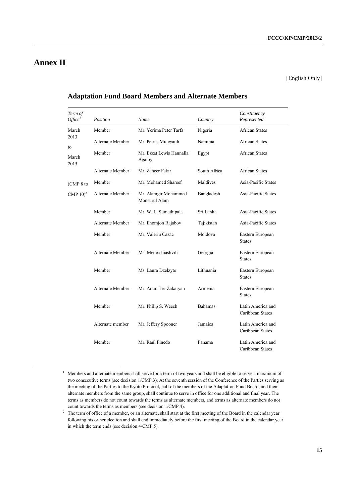# **Annex II**

-

[English Only]

| Term of<br>$O\!f\!\!f\!ice^I$ | Position<br>Name |                                       | Country        | Constituency<br>Represented           |
|-------------------------------|------------------|---------------------------------------|----------------|---------------------------------------|
| March                         | Member           | Mr. Yerima Peter Tarfa                | Nigeria        | <b>African States</b>                 |
| 2013<br>to                    | Alternate Member | Mr. Petrus Muteyauli                  | Namibia        | <b>African States</b>                 |
| March<br>2015                 | Member           | Mr. Ezzat Lewis Hannalla<br>Agaiby    | Egypt          | <b>African States</b>                 |
|                               | Alternate Member | Mr. Zaheer Fakir                      | South Africa   | <b>African States</b>                 |
| (CMP 8 to                     | Member           | Mr. Mohamed Shareef                   | Maldives       | Asia-Pacific States                   |
| CMP $10$ <sup>2</sup>         | Alternate Member | Mr. Alamgir Mohammed<br>Monsurul Alam | Bangladesh     | Asia-Pacific States                   |
|                               | Member           | Mr. W. L. Sumathipala                 | Sri Lanka      | Asia-Pacific States                   |
|                               | Alternate Member | Mr. Ilhomjon Rajabov                  | Tajikistan     | Asia-Pacific States                   |
|                               | Member           | Mr. Valeriu Cazac                     | Moldova        | Eastern European<br><b>States</b>     |
|                               | Alternate Member | Ms. Medea Inashvili                   | Georgia        | Eastern European<br><b>States</b>     |
|                               | Member           | Ms. Laura Dzelzyte                    | Lithuania      | Eastern European<br><b>States</b>     |
|                               | Alternate Member | Mr. Aram Ter-Zakaryan                 | Armenia        | Eastern European<br><b>States</b>     |
|                               | Member           | Mr. Philip S. Weech                   | <b>Bahamas</b> | Latin America and<br>Caribbean States |
|                               | Alternate member | Mr. Jeffery Spooner                   | Jamaica        | Latin America and<br>Caribbean States |
|                               | Member           | Mr. Raúl Pinedo                       | Panama         | Latin America and<br>Caribbean States |

## **Adaptation Fund Board Members and Alternate Members**

<sup>&</sup>lt;sup>1</sup> Members and alternate members shall serve for a term of two years and shall be eligible to serve a maximum of two consecutive terms (see decision 1/CMP.3). At the seventh session of the Conference of the Parties serving as the meeting of the Parties to the Kyoto Protocol, half of the members of the Adaptation Fund Board, and their alternate members from the same group, shall continue to serve in office for one additional and final year. The terms as members do not count towards the terms as alternate members, and terms as alternate members do not count towards the terms as members (see decision 1/CMP.4).

<sup>&</sup>lt;sup>2</sup> The term of office of a member, or an alternate, shall start at the first meeting of the Board in the calendar year following his or her election and shall end immediately before the first meeting of the Board in the calendar year in which the term ends (see decision 4/CMP.5).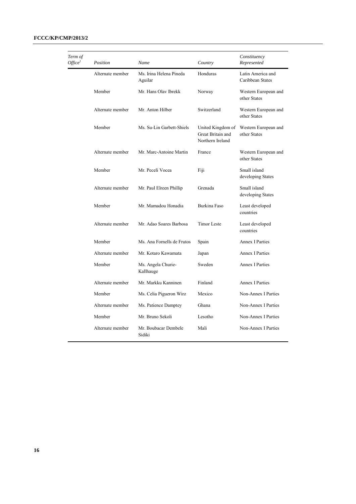| Term of<br>Office <sup>1</sup> | Position         | Name                               | Country                                                    | Constituency<br>Represented           |
|--------------------------------|------------------|------------------------------------|------------------------------------------------------------|---------------------------------------|
|                                | Alternate member | Ms. Irina Helena Pineda<br>Aguilar | Honduras                                                   | Latin America and<br>Caribbean States |
|                                | Member           | Mr. Hans Olav Ibrekk               | Norway                                                     | Western European and<br>other States  |
|                                | Alternate member | Mr. Anton Hilber                   | Switzerland                                                | Western European and<br>other States  |
|                                | Member           | Ms. Su-Lin Garbett-Shiels          | United Kingdom of<br>Great Britain and<br>Northern Ireland | Western European and<br>other States  |
|                                | Alternate member | Mr. Marc-Antoine Martin            | France                                                     | Western European and<br>other States  |
|                                | Member           | Mr. Peceli Vocea                   | Fiji                                                       | Small island<br>developing States     |
|                                | Alternate member | Mr. Paul Elreen Phillip            | Grenada                                                    | Small island<br>developing States     |
|                                | Member           | Mr. Mamadou Honadia                | Burkina Faso                                               | Least developed<br>countries          |
|                                | Alternate member | Mr. Adao Soares Barbosa            | <b>Timor Leste</b>                                         | Least developed<br>countries          |
|                                | Member           | Ms. Ana Fornells de Frutos         | Spain                                                      | <b>Annex I Parties</b>                |
|                                | Alternate member | Mr. Kotaro Kawamata                | Japan                                                      | <b>Annex I Parties</b>                |
|                                | Member           | Ms. Angela Churie-<br>Kallhauge    | Sweden                                                     | <b>Annex I Parties</b>                |
|                                | Alternate member | Mr. Markku Kanninen                | Finland                                                    | <b>Annex I Parties</b>                |
|                                | Member           | Ms. Celia Pigueron Wirz            | Mexico                                                     | Non-Annex I Parties                   |
|                                | Alternate member | Ms. Patience Damptey               | Ghana                                                      | Non-Annex I Parties                   |
|                                | Member           | Mr. Bruno Sekoli                   | Lesotho                                                    | Non-Annex I Parties                   |
|                                | Alternate member | Mr. Boubacar Dembele<br>Sidiki     | Mali                                                       | Non-Annex I Parties                   |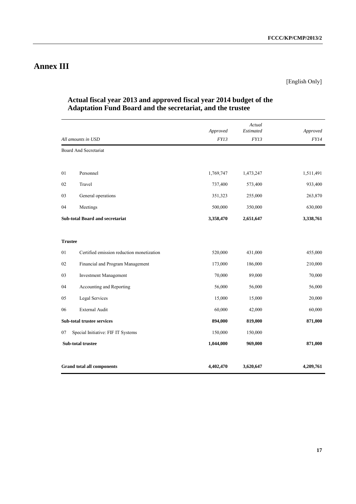# **Annex III**

## [English Only]

|                |                                           | Approved  | Actual<br>Estimated | Approved    |
|----------------|-------------------------------------------|-----------|---------------------|-------------|
|                | All amounts in USD                        | FY13      | FY13                | <i>FY14</i> |
|                | <b>Board And Secretariat</b>              |           |                     |             |
|                |                                           |           |                     |             |
| 01             | Personnel                                 | 1,769,747 | 1,473,247           | 1,511,491   |
| 02             | Travel                                    | 737,400   | 573,400             | 933,400     |
| 03             | General operations                        | 351,323   | 255,000             | 263,870     |
| 04             | Meetings                                  | 500,000   | 350,000             | 630,000     |
|                | <b>Sub-total Board and secretariat</b>    | 3,358,470 | 2,651,647           | 3,338,761   |
|                |                                           |           |                     |             |
| <b>Trustee</b> |                                           |           |                     |             |
| 01             | Certified emission reduction monetization | 520,000   | 431,000             | 455,000     |
| 02             | Financial and Program Management          | 173,000   | 186,000             | 210,000     |
| 03             | <b>Investment Management</b>              | 70,000    | 89,000              | 70,000      |
| 04             | Accounting and Reporting                  | 56,000    | 56,000              | 56,000      |
| 05             | Legal Services                            | 15,000    | 15,000              | 20,000      |
| 06             | <b>External Audit</b>                     | 60,000    | 42,000              | 60,000      |
|                | Sub-total trustee services                | 894,000   | 819,000             | 871,000     |
| 07             | Special Initiative: FIF IT Systems        | 150,000   | 150,000             |             |
|                | Sub-total trustee                         | 1,044,000 | 969,000             | 871,000     |
|                |                                           |           |                     |             |
|                | <b>Grand total all components</b>         | 4,402,470 | 3,620,647           | 4,209,761   |

## **Actual fiscal year 2013 and approved fiscal year 2014 budget of the Adaptation Fund Board and the secretariat, and the trustee**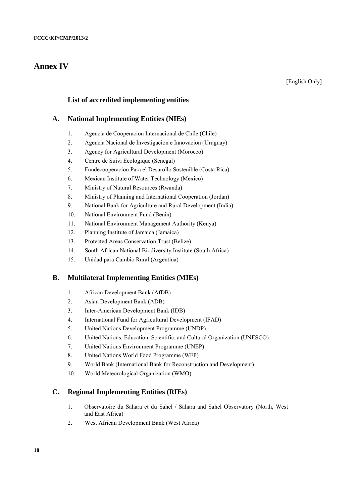## **Annex IV**

## **List of accredited implementing entities**

## **A. National Implementing Entities (NIEs)**

- 1. Agencia de Cooperacion Internacional de Chile (Chile)
- 2. Agencia Nacional de Investigacion e Innovacion (Uruguay)
- 3. Agency for Agricultural Development (Morocco)
- 4. Centre de Suivi Ecologique (Senegal)
- 5. Fundecooperacion Para el Desarollo Sostenible (Costa Rica)
- 6. Mexican Institute of Water Technology (Mexico)
- 7. Ministry of Natural Resources (Rwanda)
- 8. Ministry of Planning and International Cooperation (Jordan)
- 9. National Bank for Agriculture and Rural Development (India)
- 10. National Environment Fund (Benin)
- 11. National Environment Management Authority (Kenya)
- 12. Planning Institute of Jamaica (Jamaica)
- 13. Protected Areas Conservation Trust (Belize)
- 14. South African National Biodiversity Institute (South Africa)
- 15. Unidad para Cambio Rural (Argentina)

## **B. Multilateral Implementing Entities (MIEs)**

- 1. African Development Bank (AfDB)
- 2. Asian Development Bank (ADB)
- 3. Inter-American Development Bank (IDB)
- 4. International Fund for Agricultural Development (IFAD)
- 5. United Nations Development Programme (UNDP)
- 6. United Nations, Education, Scientific, and Cultural Organization (UNESCO)
- 7. United Nations Environment Programme (UNEP)
- 8. United Nations World Food Programme (WFP)
- 9. World Bank (International Bank for Reconstruction and Development)
- 10. World Meteorological Organization (WMO)

## **C. Regional Implementing Entities (RIEs)**

- 1. Observatoire du Sahara et du Sahel / Sahara and Sahel Observatory (North, West and East Africa)
- 2. West African Development Bank (West Africa)